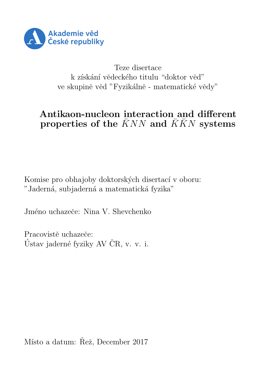

Teze disertace k získání vědeckého titulu "doktor věd" ve skupině věd "Fyzikálně - matematické vědy"

#### Antikaon-nucleon interaction and different properties of the  $\bar{K}NN$  and  $\bar{K}\bar{K}N$  systems

Komise pro obhajoby doktorských disertací v oboru: "Jaderná, subjaderná a matematická fyzika"

Jméno uchazeče: Nina V. Shevchenko

Pracovistě uchazeče: Ústav jaderné fyziky AV ČR, v. v. i.

Místo a datum: Řež, December 2017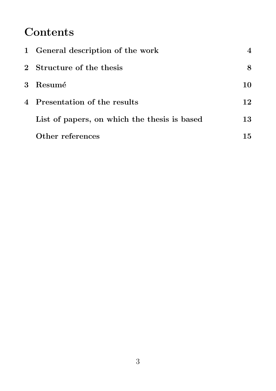# **Contents**

| 1 General description of the work            |    |
|----------------------------------------------|----|
| 2 Structure of the thesis                    | 8  |
| 3 Resumé                                     | 10 |
| 4 Presentation of the results                | 12 |
| List of papers, on which the thesis is based | 13 |
| Other references                             | 15 |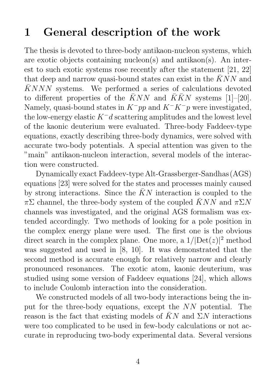# 1 General description of the work

The thesis is devoted to three-body antikaon-nucleon systems, which are exotic objects containing nucleon(s) and antikaon(s). An interest to such exotic systems rose recently after the statement [21, 22] that deep and narrow quasi-bound states can exist in the  $\bar{K}NN$  and  $\overline{K}NNN$  systems. We performed a series of calculations devoted to different properties of the  $\bar{K}NN$  and  $\bar{K}\bar{K}N$  systems [1]–[20]. Namely, quasi-bound states in  $K^-pp$  and  $K^-K^-p$  were investigated. the low-energy elastic  $K^-d$  scattering amplitudes and the lowest level of the kaonic deuterium were evaluated. Three-body Faddeev-type equations, exactly describing three-body dynamics, were solved with accurate two-body potentials. A special attention was given to the "main" antikaon-nucleon interaction, several models of the interaction were constructed.

Dynamically exact Faddeev-type Alt-Grassberger-Sandhas (AGS) equations [23] were solved for the states and processes mainly caused by strong interactions. Since the  $\bar{K}N$  interaction is coupled to the  $\pi\Sigma$  channel, the three-body system of the coupled  $\bar{K}NN$  and  $\pi\Sigma N$ channels was investigated, and the original AGS formalism was extended accordingly. Two methods of looking for a pole position in the complex energy plane were used. The first one is the obvious direct search in the complex plane. One more, a  $1/|\text{Det}(z)|^2$  method was suggested and used in [8, 10]. It was demonstrated that the second method is accurate enough for relatively narrow and clearly pronounced resonances. The exotic atom, kaonic deuterium, was studied using some version of Faddeev equations [24], which allows to include Coulomb interaction into the consideration.

We constructed models of all two-body interactions being the input for the three-body equations, except the NN potential. The reason is the fact that existing models of  $\bar{K}N$  and  $\Sigma N$  interactions were too complicated to be used in few-body calculations or not accurate in reproducing two-body experimental data. Several versions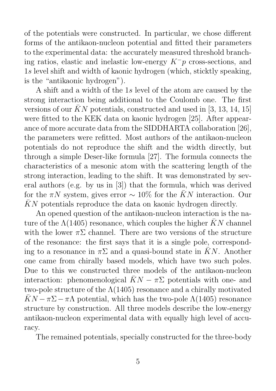of the potentials were constructed. In particular, we chose different forms of the antikaon-nucleon potential and fitted their parameters to the experimental data: the accurately measured threshold branching ratios, elastic and inelastic low-energy  $K^-p$  cross-sections, and 1s level shift and width of kaonic hydrogen (which, sticktly speaking, is the "antikaonic hydrogen").

A shift and a width of the 1s level of the atom are caused by the strong interaction being additional to the Coulomb one. The first versions of our  $\bar{K}N$  potentials, constructed and used in [3, 13, 14, 15] were fitted to the KEK data on kaonic hydrogen [25]. After appearance of more accurate data from the SIDDHARTA collaboration [26], the parameters were refitted. Most authors of the antikaon-nucleon potentials do not reproduce the shift and the width directly, but through a simple Deser-like formula [27]. The formula connects the characteristics of a mesonic atom with the scattering length of the strong interaction, leading to the shift. It was demonstrated by several authors (e.g. by us in [3]) that the formula, which was derived for the  $\pi N$  system, gives error  $\sim 10\%$  for the  $\bar{K}N$  interaction. Our  $\bar{K}N$  potentials reproduce the data on kaonic hydrogen directly.

An opened question of the antikaon-nucleon interaction is the nature of the  $\Lambda(1405)$  resonance, which couples the higher  $\bar{K}N$  channel with the lower  $\pi\Sigma$  channel. There are two versions of the structure of the resonance: the first says that it is a single pole, corresponding to a resonance in  $\pi\Sigma$  and a quasi-bound state in  $\bar{K}N$ . Another one came from chirally based models, which have two such poles. Due to this we constructed three models of the antikaon-nucleon interaction: phenomenological  $\bar{K}N - \pi \Sigma$  potentials with one- and two-pole structure of the  $\Lambda(1405)$  resonance and a chirally motivated  $\bar{K}N-\pi\Sigma-\pi\Lambda$  potential, which has the two-pole  $\Lambda(1405)$  resonance structure by construction. All three models describe the low-energy antikaon-nucleon experimental data with equally high level of accuracy.

The remained potentials, specially constructed for the three-body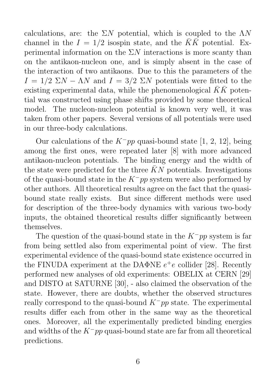calculations, are: the  $\Sigma N$  potential, which is coupled to the  $\Lambda N$ channel in the  $I = 1/2$  isospin state, and the  $\overline{K}\overline{K}$  potential. Experimental information on the  $\Sigma N$  interactions is more scanty than on the antikaon-nucleon one, and is simply absent in the case of the interaction of two antikaons. Due to this the parameters of the  $I = 1/2$   $\Sigma N - \Lambda N$  and  $I = 3/2$   $\Sigma N$  potentials were fitted to the existing experimental data, while the phenomenological  $\bar{K}\bar{K}$  potential was constructed using phase shifts provided by some theoretical model. The nucleon-nucleon potential is known very well, it was taken from other papers. Several versions of all potentials were used in our three-body calculations.

Our calculations of the  $K^-pp$  quasi-bound state [1, 2, 12], being among the first ones, were repeated later [8] with more advanced antikaon-nucleon potentials. The binding energy and the width of the state were predicted for the three  $\bar{K}N$  potentials. Investigations of the quasi-bound state in the  $K^-pp$  system were also performed by other authors. All theoretical results agree on the fact that the quasibound state really exists. But since different methods were used for description of the three-body dynamics with various two-body inputs, the obtained theoretical results differ significantly between themselves.

The question of the quasi-bound state in the  $K^-pp$  system is far from being settled also from experimental point of view. The first experimental evidence of the quasi-bound state existence occurred in the FINUDA experiment at the DAΦNE  $e^+e$  collider [28]. Recently performed new analyses of old experiments: OBELIX at CERN [29] and DISTO at SATURNE [30], - also claimed the observation of the state. However, there are doubts, whether the observed structures really correspond to the quasi-bound  $K^-pp$  state. The experimental results differ each from other in the same way as the theoretical ones. Moreover, all the experimentally predicted binding energies and widths of the  $K^-pp$  quasi-bound state are far from all theoretical predictions.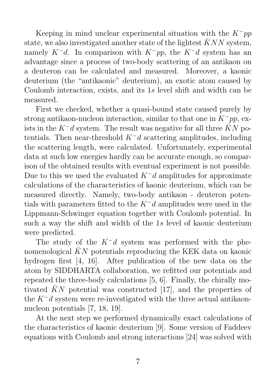Keeping in mind unclear experimental situation with the  $K^-pp$ state, we also investigated another state of the lightest  $\bar{K}NN$  system, namely  $K^-d$ . In comparison with  $K^-pp$ , the  $K^-d$  system has an advantage since a process of two-body scattering of an antikaon on a deuteron can be calculated and measured. Moreover, a kaonic deuterium (the "antikaonic" deuterium), an exotic atom caused by Coulomb interaction, exists, and its 1s level shift and width can be measured.

First we checked, whether a quasi-bound state caused purely by strong antikaon-nucleon interaction, similar to that one in  $K^-pp$ , exists in the K<sup>-</sup>d system. The result was negative for all three  $\bar{K}N$  potentials. Then near-threshold  $K^-d$  scattering amplitudes, including the scattering length, were calculated. Unfortunately, experimental data at such low energies hardly can be accurate enough, so comparison of the obtained results with eventual experiment is not possible. Due to this we used the evaluated  $K^-d$  amplitudes for approximate calculations of the characteristics of kaonic deuterium, which can be measured directly. Namely, two-body antikaon - deuteron potentials with parameters fitted to the  $K^-d$  amplitudes were used in the Lippmann-Schwinger equation together with Coulomb potential. In such a way the shift and width of the 1s level of kaonic deuterium were predicted.

The study of the  $K^-d$  system was performed with the phenomenological  $\bar{K}N$  potentials reproducing the KEK data on kaonic hydrogen first [4, 16]. After publication of the new data on the atom by SIDDHARTA collaboration, we refitted our potentials and repeated the three-body calculations [5, 6]. Finally, the chirally motivated  $\bar{K}N$  potential was constructed [17], and the properties of the  $K^-d$  system were re-investigated with the three actual antikaonnucleon potentials [7, 18, 19].

At the next step we performed dynamically exact calculations of the characteristics of kaonic deuterium [9]. Some version of Faddeev equations with Coulomb and strong interactions [24] was solved with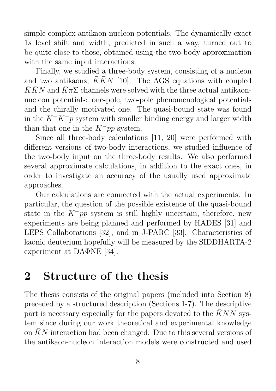simple complex antikaon-nucleon potentials. The dynamically exact 1s level shift and width, predicted in such a way, turned out to be quite close to those, obtained using the two-body approximation with the same input interactions.

Finally, we studied a three-body system, consisting of a nucleon and two antikaons,  $\overline{K}\overline{K}N$  [10]. The AGS equations with coupled  $\overline{K}\overline{K}N$  and  $\overline{K}\pi\Sigma$  channels were solved with the three actual antikaonnucleon potentials: one-pole, two-pole phenomenological potentials and the chirally motivated one. The quasi-bound state was found in the  $K^-K^-p$  system with smaller binding energy and larger width than that one in the  $K^-pp$  system.

Since all three-body calculations [11, 20] were performed with different versions of two-body interactions, we studied influence of the two-body input on the three-body results. We also performed several approximate calculations, in addition to the exact ones, in order to investigate an accuracy of the usually used approximate approaches.

Our calculations are connected with the actual experiments. In particular, the question of the possible existence of the quasi-bound state in the  $K^-pp$  system is still highly uncertain, therefore, new experiments are being planned and performed by HADES [31] and LEPS Collaborations [32], and in J-PARC [33]. Characteristics of kaonic deuterium hopefully will be measured by the SIDDHARTA-2 experiment at DAΦNE [34].

### 2 Structure of the thesis

The thesis consists of the original papers (included into Section 8) preceded by a structured description (Sections 1-7). The descriptive part is necessary especially for the papers devoted to the  $KNN$  system since during our work theoretical and experimental knowledge on  $\bar{K}N$  interaction had been changed. Due to this several versions of the antikaon-nucleon interaction models were constructed and used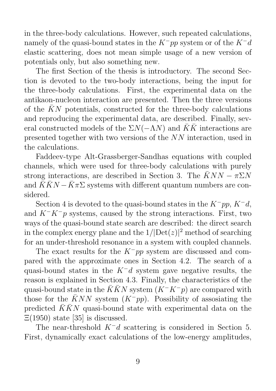in the three-body calculations. However, such repeated calculations, namely of the quasi-bound states in the  $K^-pp$  system or of the  $K^-d$ elastic scattering, does not mean simple usage of a new version of potentials only, but also something new.

The first Section of the thesis is introductory. The second Section is devoted to the two-body interactions, being the input for the three-body calculations. First, the experimental data on the antikaon-nucleon interaction are presented. Then the three versions of the  $\bar{K}N$  potentials, constructed for the three-body calculations and reproducing the experimental data, are described. Finally, several constructed models of the  $\Sigma N(-\Lambda N)$  and  $\overline{K}\overline{K}$  interactions are presented together with two versions of the NN interaction, used in the calculations.

Faddeev-type Alt-Grassberger-Sandhas equations with coupled channels, which were used for three-body calculations with purely strong interactions, are described in Section 3. The  $KNN - \pi \Sigma N$ and  $\overline{K}\overline{K}N - \overline{K}\pi\Sigma$  systems with different quantum numbers are considered.

Section 4 is devoted to the quasi-bound states in the  $K^-pp$ ,  $K^-d$ , and  $K^-K^-p$  systems, caused by the strong interactions. First, two ways of the quasi-bound state search are described: the direct search in the complex energy plane and the  $1/|\text{Det}(z)|^2$  method of searching for an under-threshold resonance in a system with coupled channels.

The exact results for the  $K^-pp$  system are discussed and compared with the approximate ones in Section 4.2. The search of a quasi-bound states in the  $K^-d$  system gave negative results, the reason is explained in Section 4.3. Finally, the characteristics of the quasi-bound state in the  $\bar{K}\bar{K}N$  system  $(K^-K^-p)$  are compared with those for the  $\bar{K}NN$  system  $(K^-pp)$ . Possibility of assosiating the predicted  $\overline{K}\overline{K}N$  quasi-bound state with experimental data on the  $\Xi(1950)$  state [35] is discussed.

The near-threshold  $K^-d$  scattering is considered in Section 5. First, dynamically exact calculations of the low-energy amplitudes,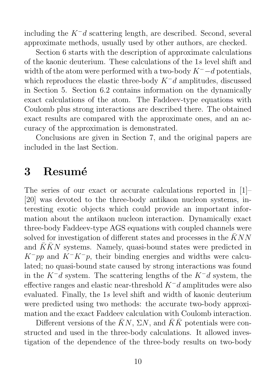including the  $K^-d$  scattering length, are described. Second, several approximate methods, usually used by other authors, are checked.

Section 6 starts with the description of approximate calculations of the kaonic deuterium. These calculations of the 1s level shift and width of the atom were performed with a two-body  $K^-$ -d potentials, which reproduces the elastic three-body  $K^-d$  amplitudes, discussed in Section 5. Section 6.2 contains information on the dynamically exact calculations of the atom. The Faddeev-type equations with Coulomb plus strong interactions are described there. The obtained exact results are compared with the approximate ones, and an accuracy of the approximation is demonstrated.

Conclusions are given in Section 7, and the original papers are included in the last Section.

#### 3 Resumé

The series of our exact or accurate calculations reported in [1]– [20] was devoted to the three-body antikaon nucleon systems, interesting exotic objects which could provide an important information about the antikaon nucleon interaction. Dynamically exact three-body Faddeev-type AGS equations with coupled channels were solved for investigation of different states and processes in the  $\bar{K}NN$ and  $\overline{K}\overline{K}N$  systems. Namely, quasi-bound states were predicted in  $K^-pp$  and  $K^-K^-p$ , their binding energies and widths were calculated; no quasi-bound state caused by strong interactions was found in the  $K^-d$  system. The scattering lengths of the  $K^-d$  system, the effective ranges and elastic near-threshold  $K^-d$  amplitudes were also evaluated. Finally, the 1s level shift and width of kaonic deuterium were predicted using two methods: the accurate two-body approximation and the exact Faddeev calculation with Coulomb interaction.

Different versions of the  $\bar{K}N$ ,  $\Sigma N$ , and  $\bar{K}\bar{K}$  potentials were constructed and used in the three-body calculations. It allowed investigation of the dependence of the three-body results on two-body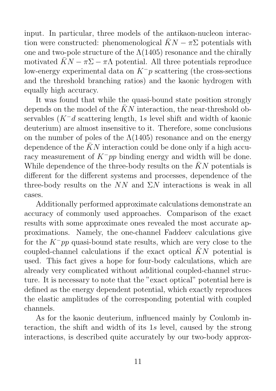input. In particular, three models of the antikaon-nucleon interaction were constructed: phenomenological  $\bar{K}N - \pi \Sigma$  potentials with one and two-pole structure of the  $\Lambda(1405)$  resonance and the chirally motivated  $\bar{K}N - \pi \Sigma - \pi \Lambda$  potential. All three potentials reproduce low-energy experimental data on  $K^-p$  scattering (the cross-sections and the threshold branching ratios) and the kaonic hydrogen with equally high accuracy.

It was found that while the quasi-bound state position strongly depends on the model of the  $\bar{K}N$  interaction, the near-threshold observables (K<sup>−</sup>d scattering length, 1s level shift and width of kaonic deuterium) are almost insensitive to it. Therefore, some conclusions on the number of poles of the  $\Lambda(1405)$  resonance and on the energy dependence of the  $\bar{K}N$  interaction could be done only if a high accuracy measurement of  $K^-pp$  binding energy and width will be done. While dependence of the three-body results on the  $\bar{K}N$  potentials is different for the different systems and processes, dependence of the three-body results on the  $NN$  and  $\Sigma N$  interactions is weak in all cases.

Additionally performed approximate calculations demonstrate an accuracy of commonly used approaches. Comparison of the exact results with some approximate ones revealed the most accurate approximations. Namely, the one-channel Faddeev calculations give for the  $K^-pp$  quasi-bound state results, which are very close to the coupled-channel calculations if the exact optical  $\bar{K}N$  potential is used. This fact gives a hope for four-body calculations, which are already very complicated without additional coupled-channel structure. It is necessary to note that the "exact optical" potential here is defined as the energy dependent potential, which exactly reproduces the elastic amplitudes of the corresponding potential with coupled channels.

As for the kaonic deuterium, influenced mainly by Coulomb interaction, the shift and width of its 1s level, caused by the strong interactions, is described quite accurately by our two-body approx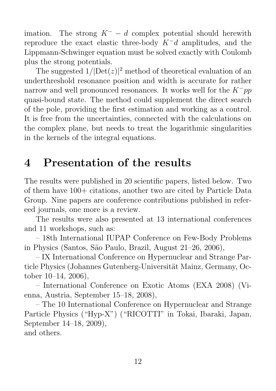imation. The strong  $K^- - d$  complex potential should herewith reproduce the exact elastic three-body  $K^-d$  amplitudes, and the Lippmann-Schwinger equation must be solved exactly with Coulomb plus the strong potentials.

The suggested  $1/|\text{Det}(z)|^2$  method of theoretical evaluation of an underthreshold resonance position and width is accurate for rather narrow and well pronounced resonances. It works well for the  $K^-pp$ quasi-bound state. The method could supplement the direct search of the pole, providing the first estimation and working as a control. It is free from the uncertainties, connected with the calculations on the complex plane, but needs to treat the logarithmic singularities in the kernels of the integral equations.

## 4 Presentation of the results

The results were published in 20 scientific papers, listed below. Two of them have 100+ citations, another two are cited by Particle Data Group. Nine papers are conference contributions published in refereed journals, one more is a review.

The results were also presented at 13 international conferences and 11 workshops, such as:

– 18th International IUPAP Conference on Few-Body Problems in Physics (Santos, S˜ao Paulo, Brazil, August 21–26, 2006),

– IX International Conference on Hypernuclear and Strange Particle Physics (Johannes Gutenberg-Universität Mainz, Germany, October 10–14, 2006),

– International Conference on Exotic Atoms (EXA 2008) (Vienna, Austria, September 15–18, 2008),

– The 10 International Conference on Hypernuclear and Strange Particle Physics ("Hyp-X") ("RICOTTI" in Tokai, Ibaraki, Japan, September 14–18, 2009), and others.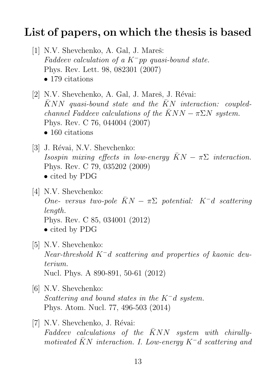### List of papers, on which the thesis is based

- [1] N.V. Shevchenko, A. Gal, J. Mareš: Faddeev calculation of a  $K^-$ pp quasi-bound state. Phys. Rev. Lett. 98, 082301 (2007) • 179 citations
- [2] N.V. Shevchenko, A. Gal, J. Mareš, J. Révai:  $\bar{K}NN$  quasi-bound state and the  $\bar{K}N$  interaction: coupledchannel Faddeev calculations of the  $\bar{K}NN - \pi \Sigma N$  system. Phys. Rev. C 76, 044004 (2007) • 160 citations
- [3] J. Révai, N.V. Shevchenko: Isospin mixing effects in low-energy  $\bar{K}N - \pi \Sigma$  interaction. Phys. Rev. C 79, 035202 (2009) • cited by PDG
- [4] N.V. Shevchenko: One- versus two-pole  $\bar{K}N-\pi\Sigma$  potential:  $K^-d$  scattering length. Phys. Rev. C 85, 034001 (2012) • cited by PDG
- [5] N.V. Shevchenko: Near-threshold K<sup>−</sup>d scattering and properties of kaonic deuterium. Nucl. Phys. A 890-891, 50-61 (2012)
- [6] N.V. Shevchenko: Scattering and bound states in the  $K^-d$  system. Phys. Atom. Nucl. 77, 496-503 (2014)
- [7] N.V. Shevchenko, J. Révai: Faddeev calculations of the  $\bar{K}NN$  system with chirallymotivated  $\bar{K}N$  interaction. I. Low-energy K<sup>-</sup>d scattering and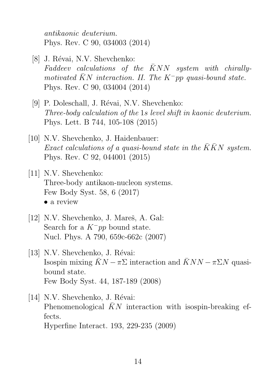antikaonic deuterium. Phys. Rev. C 90, 034003 (2014)

- [8] J. Révai, N.V. Shevchenko: Faddeev calculations of the  $\bar{K}NN$  system with chirallymotivated  $\bar{K}N$  interaction. II. The K<sup>-</sup>pp quasi-bound state. Phys. Rev. C 90, 034004 (2014)
- [9] P. Doleschall, J. Révai, N.V. Shevchenko: Three-body calculation of the 1s level shift in kaonic deuterium. Phys. Lett. B 744, 105-108 (2015)
- [10] N.V. Shevchenko, J. Haidenbauer: Exact calculations of a quasi-bound state in the  $\bar{K}\bar{K}N$  system. Phys. Rev. C 92, 044001 (2015)
- [11] N.V. Shevchenko: Three-body antikaon-nucleon systems. Few Body Syst. 58, 6 (2017) • a review
- [12] N.V. Shevchenko, J. Mareš, A. Gal: Search for a  $K^-pp$  bound state. Nucl. Phys. A 790, 659c-662c (2007)
- [13] N.V. Shevchenko, J. Révai: Isospin mixing  $KN - \pi \Sigma$  interaction and  $KNN - \pi \Sigma N$  quasibound state. Few Body Syst. 44, 187-189 (2008)
- [14] N.V. Shevchenko, J. Révai: Phenomenological  $KN$  interaction with isospin-breaking effects. Hyperfine Interact. 193, 229-235 (2009)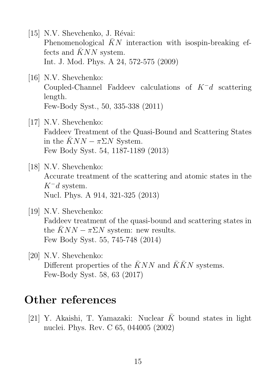- [15] N.V. Shevchenko, J. Révai: Phenomenological  $\bar{K}N$  interaction with isospin-breaking effects and  $\bar{K}NN$  system. Int. J. Mod. Phys. A 24, 572-575 (2009)
- [16] N.V. Shevchenko: Coupled-Channel Faddeev calculations of K<sup>−</sup>d scattering length. Few-Body Syst., 50, 335-338 (2011)
- [17] N.V. Shevchenko: Faddeev Treatment of the Quasi-Bound and Scattering States in the  $\bar{K}NN - \pi \Sigma N$  System. Few Body Syst. 54, 1187-1189 (2013)
- [18] N.V. Shevchenko: Accurate treatment of the scattering and atomic states in the  $K^-d$  system. Nucl. Phys. A 914, 321-325 (2013)
- [19] N.V. Shevchenko: Faddeev treatment of the quasi-bound and scattering states in the  $\overline{K}NN - \pi \Sigma N$  system: new results. Few Body Syst. 55, 745-748 (2014)
- [20] N.V. Shevchenko: Different properties of the  $\bar{K}NN$  and  $\bar{K}\bar{K}N$  systems. Few-Body Syst. 58, 63 (2017)

#### Other references

[21] Y. Akaishi, T. Yamazaki: Nuclear  $\bar{K}$  bound states in light nuclei. Phys. Rev. C 65, 044005 (2002)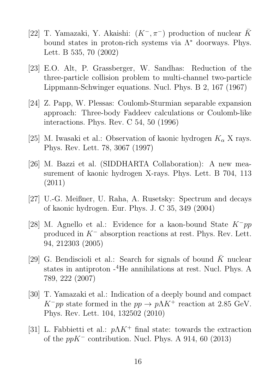- [22] T. Yamazaki, Y. Akaishi:  $(K^-, \pi^-)$  production of nuclear  $\bar{K}$ bound states in proton-rich systems via  $\Lambda^*$  doorways. Phys. Lett. B 535, 70 (2002)
- [23] E.O. Alt, P. Grassberger, W. Sandhas: Reduction of the three-particle collision problem to multi-channel two-particle Lippmann-Schwinger equations. Nucl. Phys. B 2, 167 (1967)
- [24] Z. Papp, W. Plessas: Coulomb-Sturmian separable expansion approach: Three-body Faddeev calculations or Coulomb-like interactions. Phys. Rev. C 54, 50 (1996)
- [25] M. Iwasaki et al.: Observation of kaonic hydrogen  $K_{\alpha}$  X rays. Phys. Rev. Lett. 78, 3067 (1997)
- [26] M. Bazzi et al. (SIDDHARTA Collaboration): A new measurement of kaonic hydrogen X-rays. Phys. Lett. B 704, 113 (2011)
- [27] U.-G. Meißner, U. Raha, A. Rusetsky: Spectrum and decays of kaonic hydrogen. Eur. Phys. J. C 35, 349 (2004)
- [28] M. Agnello et al.: Evidence for a kaon-bound State K<sup>−</sup>pp produced in K<sup>−</sup> absorption reactions at rest. Phys. Rev. Lett. 94, 212303 (2005)
- [29] G. Bendiscioli et al.: Search for signals of bound  $\bar{K}$  nuclear states in antiproton  $-4$ He annihilations at rest. Nucl. Phys. A 789, 222 (2007)
- [30] T. Yamazaki et al.: Indication of a deeply bound and compact  $K^-pp$  state formed in the  $pp \to p\Lambda K^+$  reaction at 2.85 GeV. Phys. Rev. Lett. 104, 132502 (2010)
- [31] L. Fabbietti et al.:  $p\Lambda K^+$  final state: towards the extraction of the  $ppK^-$  contribution. Nucl. Phys. A 914, 60 (2013)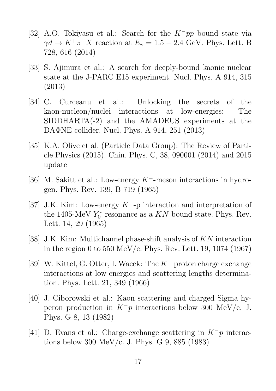- [32] A.O. Tokiyasu et al.: Search for the K<sup>−</sup>pp bound state via  $\gamma d \to K^+\pi^- X$  reaction at  $E_{\gamma} = 1.5 - 2.4$  GeV. Phys. Lett. B 728, 616 (2014)
- [33] S. Ajimura et al.: A search for deeply-bound kaonic nuclear state at the J-PARC E15 experiment. Nucl. Phys. A 914, 315 (2013)
- [34] C. Curceanu et al.: Unlocking the secrets of the kaon-nucleon/nuclei interactions at low-energies: The SIDDHARTA(-2) and the AMADEUS experiments at the DAΦNE collider. Nucl. Phys. A 914, 251 (2013)
- [35] K.A. Olive et al. (Particle Data Group): The Review of Particle Physics (2015). Chin. Phys. C, 38, 090001 (2014) and 2015 update
- [36] M. Sakitt et al.: Low-energy K<sup>−</sup>-meson interactions in hydrogen. Phys. Rev. 139, B 719 (1965)
- [37] J.K. Kim: Low-energy K<sup>−</sup>-p interaction and interpretation of the 1405-MeV  $Y_0^*$  resonance as a  $\bar{K}N$  bound state. Phys. Rev. Lett. 14, 29 (1965)
- [38] J.K. Kim: Multichannel phase-shift analysis of  $\bar{K}N$  interaction in the region 0 to 550 MeV/c. Phys. Rev. Lett. 19, 1074 (1967)
- [39] W. Kittel, G. Otter, I. Wacek: The K<sup>−</sup> proton charge exchange interactions at low energies and scattering lengths determination. Phys. Lett. 21, 349 (1966)
- [40] J. Ciborowski et al.: Kaon scattering and charged Sigma hyperon production in  $K^-p$  interactions below 300 MeV/c. J. Phys. G 8, 13 (1982)
- [41] D. Evans et al.: Charge-exchange scattering in  $K^-p$  interactions below 300 MeV/c. J. Phys. G 9, 885 (1983)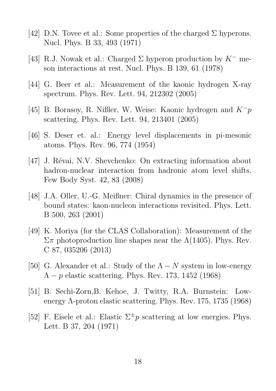- [42] D.N. Tovee et al.: Some properties of the charged  $\Sigma$  hyperons. Nucl. Phys. B 33, 493 (1971)
- [43] R.J. Nowak et al.: Charged  $\Sigma$  hyperon production by  $K^-$  meson interactions at rest. Nucl. Phys. B 139, 61 (1978)
- [44] G. Beer et al.: Measurement of the kaonic hydrogen X-ray spectrum. Phys. Rev. Lett. 94, 212302 (2005)
- [45] B. Borasoy, R. Nißler, W. Weise: Kaonic hydrogen and  $K^-p$ scattering. Phys. Rev. Lett. 94, 213401 (2005)
- [46] S. Deser et. al.: Energy level displacements in pi-mesonic atoms. Phys. Rev. 96, 774 (1954)
- [47] J. Révai, N.V. Shevchenko: On extracting information about hadron-nuclear interaction from hadronic atom level shifts. Few Body Syst. 42, 83 (2008)
- [48] J.A. Oller, U.-G. Meißner: Chiral dynamics in the presence of bound states: kaon-nucleon interactions revisited. Phys. Lett. B 500, 263 (2001)
- [49] K. Moriya (for the CLAS Collaboration): Measurement of the  $\Sigma$ π photoproduction line shapes near the  $\Lambda(1405)$ . Phys. Rev. C 87, 035206 (2013)
- [50] G. Alexander et al.: Study of the  $\Lambda N$  system in low-energy  $\Lambda - p$  elastic scattering. Phys. Rev. 173, 1452 (1968)
- [51] B. Sechi-Zorn,B. Kehoe, J. Twitty, R.A. Burnstein: Lowenergy Λ-proton elastic scattering. Phys. Rev. 175, 1735 (1968)
- [52] F. Eisele et al.: Elastic  $\Sigma^{\pm}p$  scattering at low energies. Phys. Lett. B 37, 204 (1971)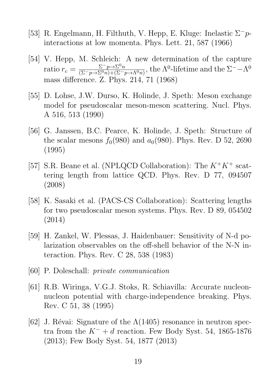- [53] R. Engelmann, H. Filthuth, V. Hepp, E. Kluge: Inelastic Σ<sup>−</sup>pinteractions at low momenta. Phys. Lett. 21, 587 (1966)
- [54] V. Hepp, M. Schleich: A new determination of the capture ratio  $r_c = \frac{\Sigma^- p \rightarrow \Sigma^0 n}{(\Sigma^- p \rightarrow \Sigma^0 n) + (\Sigma^- n)}$  $\frac{\sum^{\infty} p \to \sum^{\infty} n}{(\sum^{\infty} p \to \sum^{\infty} n) + (\sum^{\infty} p \to \Lambda^{\infty} n)},$  the  $\Lambda^0$ -lifetime and the  $\Sigma^+ - \Lambda^0$ mass difference. Z. Phys. 214, 71 (1968)
- [55] D. Lohse, J.W. Durso, K. Holinde, J. Speth: Meson exchange model for pseudoscalar meson-meson scattering. Nucl. Phys. A 516, 513 (1990)
- [56] G. Janssen, B.C. Pearce, K. Holinde, J. Speth: Structure of the scalar mesons  $f_0(980)$  and  $a_0(980)$ . Phys. Rev. D 52, 2690 (1995)
- [57] S.R. Beane et al. (NPLQCD Collaboration): The  $K^+K^+$  scattering length from lattice QCD. Phys. Rev. D 77, 094507 (2008)
- [58] K. Sasaki et al. (PACS-CS Collaboration): Scattering lengths for two pseudoscalar meson systems. Phys. Rev. D 89, 054502 (2014)
- [59] H. Zankel, W. Plessas, J. Haidenbauer: Sensitivity of N-d polarization observables on the off-shell behavior of the N-N interaction. Phys. Rev. C 28, 538 (1983)
- [60] P. Doleschall: private communication
- [61] R.B. Wiringa, V.G.J. Stoks, R. Schiavilla: Accurate nucleonnucleon potential with charge-independence breaking. Phys. Rev. C 51, 38 (1995)
- [62] J. Révai: Signature of the  $\Lambda(1405)$  resonance in neutron spectra from the  $K^- + d$  reaction. Few Body Syst. 54, 1865-1876 (2013); Few Body Syst. 54, 1877 (2013)